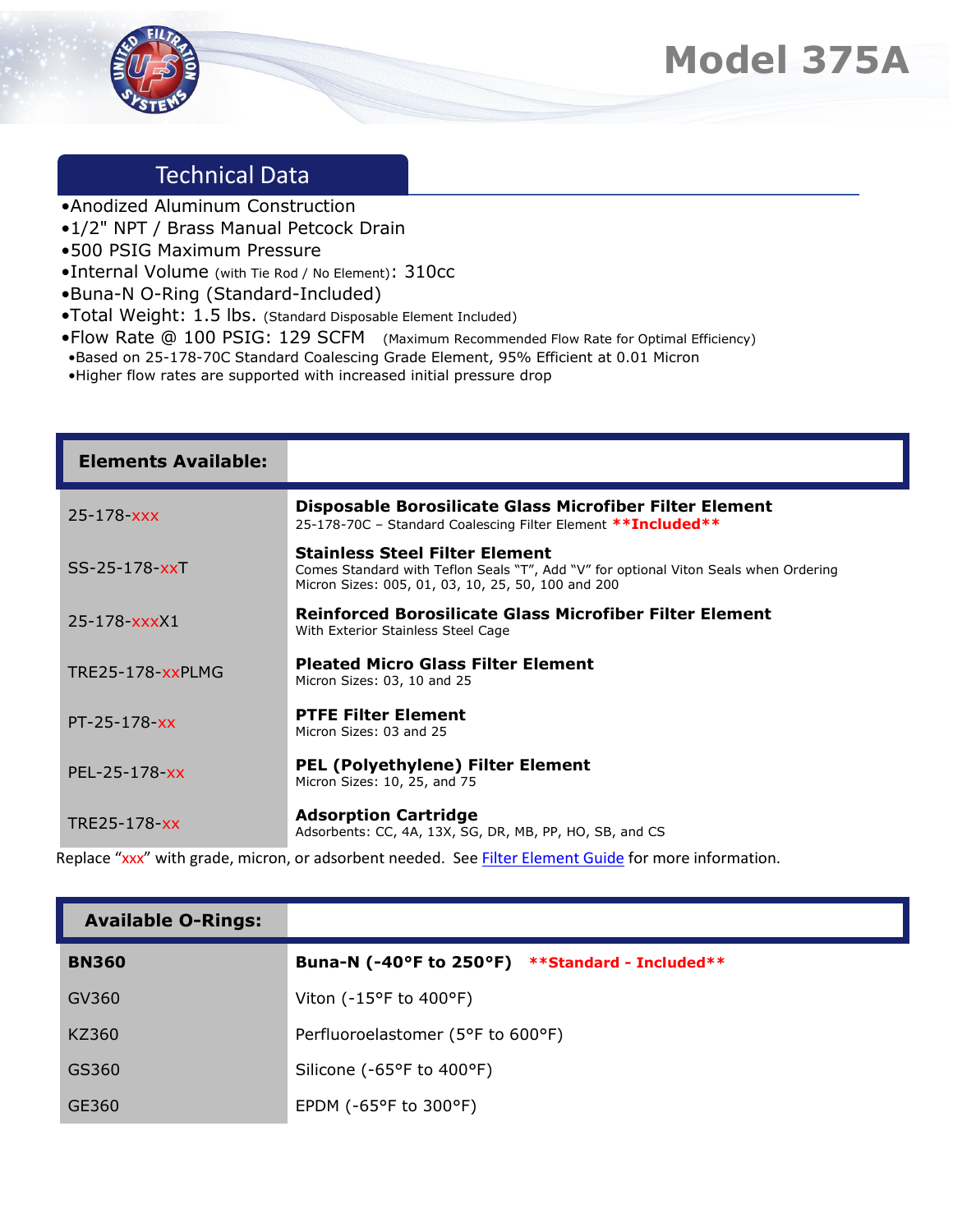

## Technical Data

- •Anodized Aluminum Construction
- •1/2" NPT / Brass Manual Petcock Drain
- •500 PSIG Maximum Pressure
- •Internal Volume (with Tie Rod / No Element): 310cc
- •Buna-N O-Ring (Standard-Included)
- •Total Weight: 1.5 lbs. (Standard Disposable Element Included)
- •Flow Rate @ 100 PSIG: 129 SCFM (Maximum Recommended Flow Rate for Optimal Efficiency)
- •Based on 25-178-70C Standard Coalescing Grade Element, 95% Efficient at 0.01 Micron
- •Higher flow rates are supported with increased initial pressure drop

| <b>Elements Available:</b> |                                                                                                                                                                                     |
|----------------------------|-------------------------------------------------------------------------------------------------------------------------------------------------------------------------------------|
| $25 - 178  xxx$            | Disposable Borosilicate Glass Microfiber Filter Element<br>25-178-70C - Standard Coalescing Filter Element ** Included**                                                            |
| $SS-25-178-XX$             | <b>Stainless Steel Filter Element</b><br>Comes Standard with Teflon Seals "T", Add "V" for optional Viton Seals when Ordering<br>Micron Sizes: 005, 01, 03, 10, 25, 50, 100 and 200 |
| $25 - 178 - xxxX1$         | Reinforced Borosilicate Glass Microfiber Filter Element<br>With Exterior Stainless Steel Cage                                                                                       |
| TRE25-178-xxPLMG           | <b>Pleated Micro Glass Filter Element</b><br>Micron Sizes: 03, 10 and 25                                                                                                            |
| $PT - 25 - 178 - xx$       | <b>PTFE Filter Element</b><br>Micron Sizes: 03 and 25                                                                                                                               |
| PEL-25-178-xx              | <b>PEL (Polyethylene) Filter Element</b><br>Micron Sizes: 10, 25, and 75                                                                                                            |
| TRE25-178-xx               | <b>Adsorption Cartridge</b><br>Adsorbents: CC, 4A, 13X, SG, DR, MB, PP, HO, SB, and CS                                                                                              |

Replace "xxx" with grade, micron, or adsorbent needed. Se[e Filter Element Guide](https://unitedfiltration.com/filter-element-guide/) for more information.

| <b>Available O-Rings:</b> |                                                 |
|---------------------------|-------------------------------------------------|
| <b>BN360</b>              | Buna-N (-40°F to 250°F) **Standard - Included** |
| GV360                     | Viton ( $-15^{\circ}$ F to $400^{\circ}$ F)     |
| KZ360                     | Perfluoroelastomer (5°F to 600°F)               |
| GS360                     | Silicone (-65°F to 400°F)                       |
| GE360                     | EPDM ( $-65^{\circ}$ F to 300 $^{\circ}$ F)     |